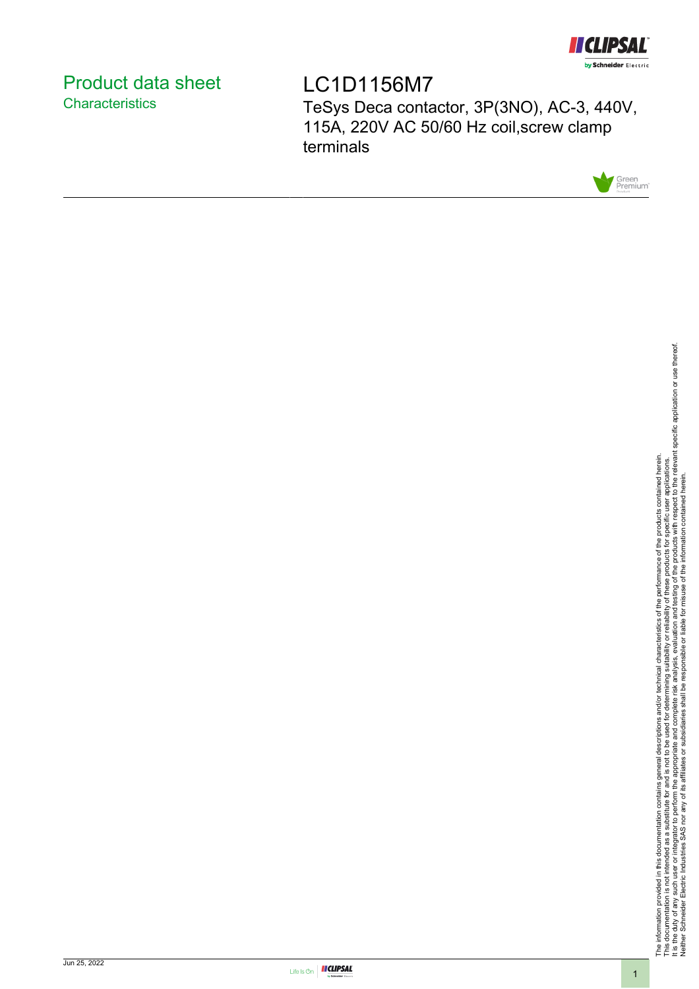

# <span id="page-0-0"></span>Product data sheet **Characteristics**

LC1D1156M7 TeSys Deca contactor, 3P(3NO), AC-3, 440V, 115A, 220V AC 50/60 Hz coil,screw clamp terminals



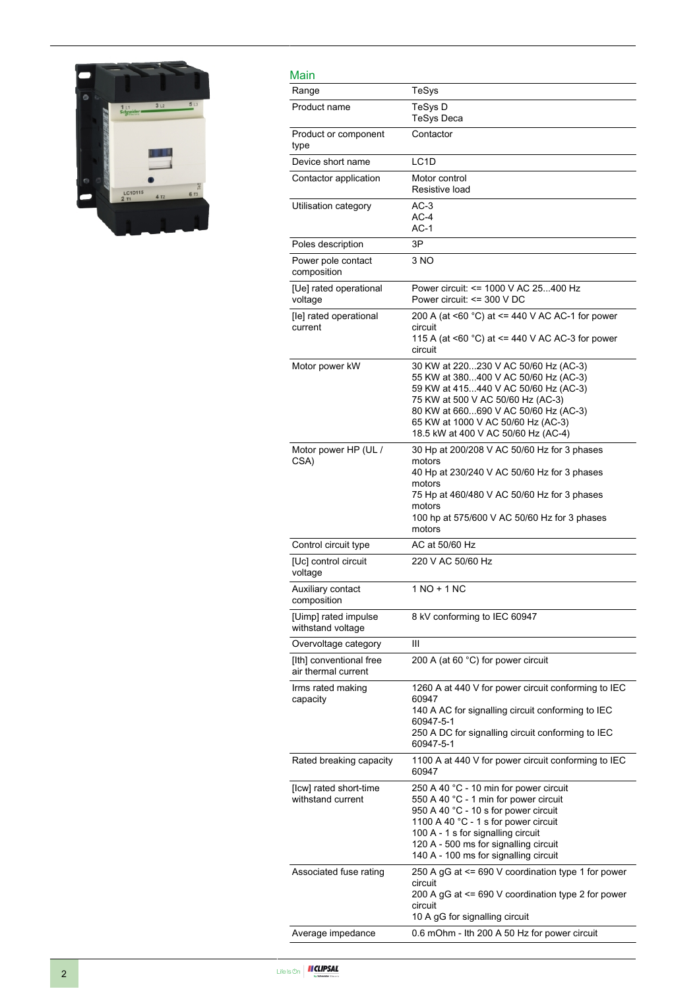

| Main                                           |                                                                                                                                                                                                                                                                                         |
|------------------------------------------------|-----------------------------------------------------------------------------------------------------------------------------------------------------------------------------------------------------------------------------------------------------------------------------------------|
| Range                                          | TeSys                                                                                                                                                                                                                                                                                   |
| Product name                                   | TeSys D<br><b>TeSys Deca</b>                                                                                                                                                                                                                                                            |
| Product or component<br>type                   | Contactor                                                                                                                                                                                                                                                                               |
| Device short name                              | LC <sub>1</sub> D                                                                                                                                                                                                                                                                       |
| Contactor application                          | Motor control<br>Resistive load                                                                                                                                                                                                                                                         |
| Utilisation category                           | $AC-3$<br>$AC-4$<br>$AC-1$                                                                                                                                                                                                                                                              |
| Poles description                              | 3P                                                                                                                                                                                                                                                                                      |
| Power pole contact<br>composition              | 3 NO                                                                                                                                                                                                                                                                                    |
| [Ue] rated operational<br>voltage              | Power circuit: <= 1000 V AC 25400 Hz<br>Power circuit: <= 300 V DC                                                                                                                                                                                                                      |
| [le] rated operational<br>current              | 200 A (at <60 °C) at <= 440 V AC AC-1 for power<br>circuit<br>115 A (at $\leq 60$ °C) at $\leq$ 440 V AC AC-3 for power<br>circuit                                                                                                                                                      |
| Motor power kW                                 | 30 KW at 220230 V AC 50/60 Hz (AC-3)<br>55 KW at 380400 V AC 50/60 Hz (AC-3)<br>59 KW at 415440 V AC 50/60 Hz (AC-3)<br>75 KW at 500 V AC 50/60 Hz (AC-3)<br>80 KW at 660690 V AC 50/60 Hz (AC-3)<br>65 KW at 1000 V AC 50/60 Hz (AC-3)<br>18.5 kW at 400 V AC 50/60 Hz (AC-4)          |
| Motor power HP (UL /<br>CSA)                   | 30 Hp at 200/208 V AC 50/60 Hz for 3 phases<br>motors<br>40 Hp at 230/240 V AC 50/60 Hz for 3 phases<br>motors<br>75 Hp at 460/480 V AC 50/60 Hz for 3 phases<br>motors<br>100 hp at 575/600 V AC 50/60 Hz for 3 phases<br>motors                                                       |
| Control circuit type                           | AC at 50/60 Hz                                                                                                                                                                                                                                                                          |
| [Uc] control circuit<br>voltage                | 220 V AC 50/60 Hz                                                                                                                                                                                                                                                                       |
| Auxiliary contact<br>composition               | 1 NO + 1 NC                                                                                                                                                                                                                                                                             |
| [Uimp] rated impulse<br>withstand voltage      | 8 kV conforming to IEC 60947                                                                                                                                                                                                                                                            |
| Overvoltage category                           | Ш                                                                                                                                                                                                                                                                                       |
| [Ith] conventional free<br>air thermal current | 200 A (at 60 °C) for power circuit                                                                                                                                                                                                                                                      |
| Irms rated making<br>capacity                  | 1260 A at 440 V for power circuit conforming to IEC<br>60947<br>140 A AC for signalling circuit conforming to IEC<br>60947-5-1<br>250 A DC for signalling circuit conforming to IEC<br>60947-5-1                                                                                        |
| Rated breaking capacity                        | 1100 A at 440 V for power circuit conforming to IEC<br>60947                                                                                                                                                                                                                            |
| [Icw] rated short-time<br>withstand current    | 250 A 40 °C - 10 min for power circuit<br>550 A 40 °C - 1 min for power circuit<br>950 A 40 °C - 10 s for power circuit<br>1100 A 40 °C - 1 s for power circuit<br>100 A - 1 s for signalling circuit<br>120 A - 500 ms for signalling circuit<br>140 A - 100 ms for signalling circuit |
| Associated fuse rating                         | 250 A gG at <= 690 V coordination type 1 for power<br>circuit<br>200 A gG at <= 690 V coordination type 2 for power<br>circuit<br>10 A gG for signalling circuit                                                                                                                        |
| Average impedance                              | 0.6 mOhm - Ith 200 A 50 Hz for power circuit                                                                                                                                                                                                                                            |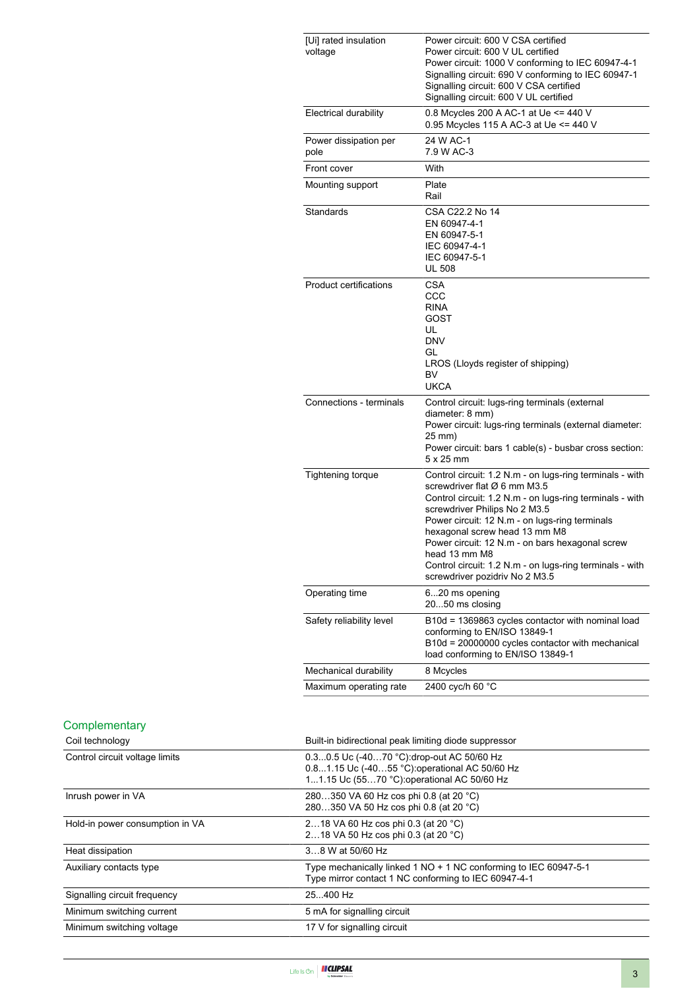| [Ui] rated insulation<br>voltage | Power circuit: 600 V CSA certified<br>Power circuit: 600 V UL certified<br>Power circuit: 1000 V conforming to IEC 60947-4-1<br>Signalling circuit: 690 V conforming to IEC 60947-1<br>Signalling circuit: 600 V CSA certified<br>Signalling circuit: 600 V UL certified                                                                                                                                                                   |
|----------------------------------|--------------------------------------------------------------------------------------------------------------------------------------------------------------------------------------------------------------------------------------------------------------------------------------------------------------------------------------------------------------------------------------------------------------------------------------------|
| Electrical durability            | 0.8 Mcycles 200 A AC-1 at Ue <= 440 V<br>0.95 Mcycles 115 A AC-3 at Ue <= 440 V                                                                                                                                                                                                                                                                                                                                                            |
| Power dissipation per<br>pole    | 24 W AC-1<br>7.9 W AC-3                                                                                                                                                                                                                                                                                                                                                                                                                    |
| Front cover                      | With                                                                                                                                                                                                                                                                                                                                                                                                                                       |
| Mounting support                 | Plate<br>Rail                                                                                                                                                                                                                                                                                                                                                                                                                              |
| Standards                        | CSA C22.2 No 14<br>EN 60947-4-1<br>EN 60947-5-1<br>IEC 60947-4-1<br>IEC 60947-5-1<br><b>UL 508</b>                                                                                                                                                                                                                                                                                                                                         |
| Product certifications           | CSA<br>CCC<br><b>RINA</b><br>GOST<br>UL<br><b>DNV</b><br>GL<br>LROS (Lloyds register of shipping)<br><b>BV</b><br><b>UKCA</b>                                                                                                                                                                                                                                                                                                              |
| Connections - terminals          | Control circuit: lugs-ring terminals (external<br>diameter: 8 mm)<br>Power circuit: lugs-ring terminals (external diameter:<br>25 mm)<br>Power circuit: bars 1 cable(s) - busbar cross section:<br>$5 \times 25$ mm                                                                                                                                                                                                                        |
| <b>Tightening torque</b>         | Control circuit: 1.2 N.m - on lugs-ring terminals - with<br>screwdriver flat Ø 6 mm M3.5<br>Control circuit: 1.2 N.m - on lugs-ring terminals - with<br>screwdriver Philips No 2 M3.5<br>Power circuit: 12 N.m - on lugs-ring terminals<br>hexagonal screw head 13 mm M8<br>Power circuit: 12 N.m - on bars hexagonal screw<br>head 13 mm M8<br>Control circuit: 1.2 N.m - on lugs-ring terminals - with<br>screwdriver pozidriv No 2 M3.5 |
| Operating time                   | 620 ms opening<br>2050 ms closing                                                                                                                                                                                                                                                                                                                                                                                                          |
| Safety reliability level         | B10d = 1369863 cycles contactor with nominal load<br>conforming to EN/ISO 13849-1<br>B10d = 20000000 cycles contactor with mechanical<br>load conforming to EN/ISO 13849-1                                                                                                                                                                                                                                                                 |
| Mechanical durability            | 8 Mcycles                                                                                                                                                                                                                                                                                                                                                                                                                                  |
| Maximum operating rate           | 2400 cyc/h 60 °C                                                                                                                                                                                                                                                                                                                                                                                                                           |

#### **Complementary**

| Coil technology                 | Built-in bidirectional peak limiting diode suppressor                                                                                     |
|---------------------------------|-------------------------------------------------------------------------------------------------------------------------------------------|
| Control circuit voltage limits  | 0.30.5 Uc (-4070 °C) drop-out AC 50/60 Hz<br>0.81.15 Uc (-4055 °C) operational AC 50/60 Hz<br>11.15 Uc (5570 °C): operational AC 50/60 Hz |
| Inrush power in VA              | 280350 VA 60 Hz cos phi 0.8 (at 20 °C)<br>280350 VA 50 Hz cos phi 0.8 (at 20 °C)                                                          |
| Hold-in power consumption in VA | 218 VA 60 Hz cos phi 0.3 (at 20 °C)<br>218 VA 50 Hz cos phi 0.3 (at 20 °C)                                                                |
| Heat dissipation                | 38 W at 50/60 Hz                                                                                                                          |
| Auxiliary contacts type         | Type mechanically linked 1 NO + 1 NC conforming to IEC 60947-5-1<br>Type mirror contact 1 NC conforming to IEC 60947-4-1                  |
| Signalling circuit frequency    | 25.400 Hz                                                                                                                                 |
| Minimum switching current       | 5 mA for signalling circuit                                                                                                               |
| Minimum switching voltage       | 17 V for signalling circuit                                                                                                               |